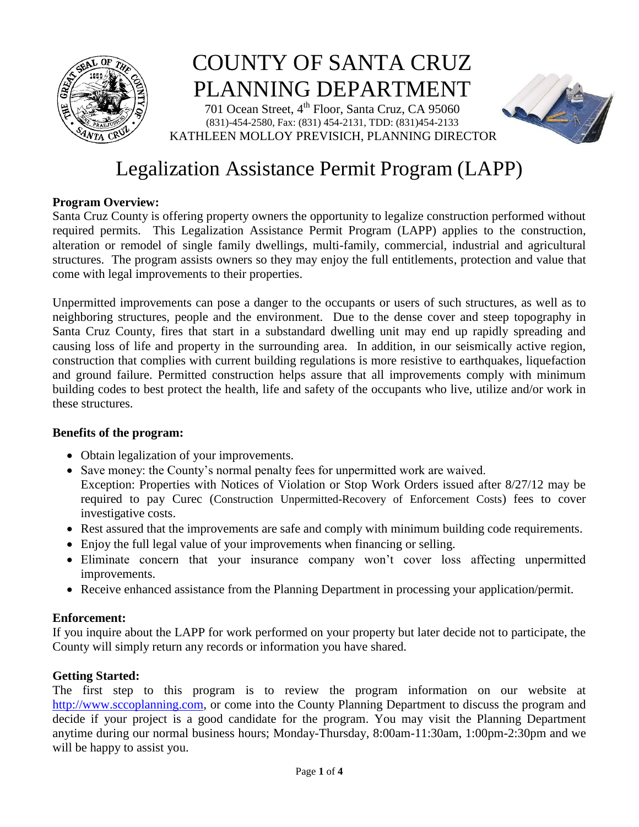

# COUNTY OF SANTA CRUZ PLANNING DEPARTMENT

701 Ocean Street, 4<sup>th</sup> Floor, Santa Cruz, CA 95060 (831)-454-2580, Fax: (831) 454-2131, TDD: (831)454-2133 KATHLEEN MOLLOY PREVISICH, PLANNING DIRECTOR



# Legalization Assistance Permit Program (LAPP)

# **Program Overview:**

Santa Cruz County is offering property owners the opportunity to legalize construction performed without required permits. This Legalization Assistance Permit Program (LAPP) applies to the construction, alteration or remodel of single family dwellings, multi-family, commercial, industrial and agricultural structures. The program assists owners so they may enjoy the full entitlements, protection and value that come with legal improvements to their properties.

Unpermitted improvements can pose a danger to the occupants or users of such structures, as well as to neighboring structures, people and the environment. Due to the dense cover and steep topography in Santa Cruz County, fires that start in a substandard dwelling unit may end up rapidly spreading and causing loss of life and property in the surrounding area. In addition, in our seismically active region, construction that complies with current building regulations is more resistive to earthquakes, liquefaction and ground failure. Permitted construction helps assure that all improvements comply with minimum building codes to best protect the health, life and safety of the occupants who live, utilize and/or work in these structures.

# **Benefits of the program:**

- Obtain legalization of your improvements.
- Save money: the County's normal penalty fees for unpermitted work are waived.
- Exception: Properties with Notices of Violation or Stop Work Orders issued after 8/27/12 may be required to pay Curec (Construction Unpermitted-Recovery of Enforcement Costs) fees to cover investigative costs.
- Rest assured that the improvements are safe and comply with minimum building code requirements.
- Enjoy the full legal value of your improvements when financing or selling.
- Eliminate concern that your insurance company won't cover loss affecting unpermitted improvements.
- Receive enhanced assistance from the Planning Department in processing your application/permit.

# **Enforcement:**

If you inquire about the LAPP for work performed on your property but later decide not to participate, the County will simply return any records or information you have shared.

# **Getting Started:**

The first step to this program is to review the program information on our website at [http://www.sccoplanning.com,](http://www.sccoplanning.com/) or come into the County Planning Department to discuss the program and decide if your project is a good candidate for the program. You may visit the Planning Department anytime during our normal business hours; Monday-Thursday, 8:00am-11:30am, 1:00pm-2:30pm and we will be happy to assist you.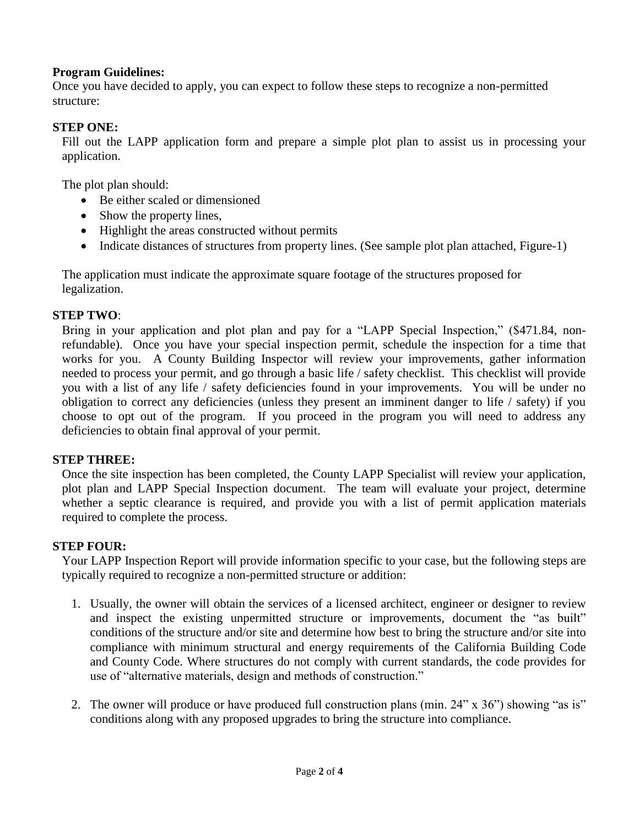#### **Program Guidelines:**

Once you have decided to apply, you can expect to follow these steps to recognize a non-permitted structure:

#### **STEP ONE:**

Fill out the LAPP application form and prepare a simple plot plan to assist us in processing your application.

The plot plan should:

- Be either scaled or dimensioned
- Show the property lines,
- Highlight the areas constructed without permits
- Indicate distances of structures from property lines. (See sample plot plan attached, Figure-1)

The application must indicate the approximate square footage of the structures proposed for legalization.

#### **STEP TWO**:

Bring in your application and plot plan and pay for a "LAPP Special Inspection," (\$471.84, nonrefundable). Once you have your special inspection permit, schedule the inspection for a time that works for you. A County Building Inspector will review your improvements, gather information needed to process your permit, and go through a basic life / safety checklist. This checklist will provide you with a list of any life / safety deficiencies found in your improvements. You will be under no obligation to correct any deficiencies (unless they present an imminent danger to life / safety) if you choose to opt out of the program. If you proceed in the program you will need to address any deficiencies to obtain final approval of your permit.

#### **STEP THREE:**

Once the site inspection has been completed, the County LAPP Specialist will review your application, plot plan and LAPP Special Inspection document. The team will evaluate your project, determine whether a septic clearance is required, and provide you with a list of permit application materials required to complete the process.

#### **STEP FOUR:**

Your LAPP Inspection Report will provide information specific to your case, but the following steps are typically required to recognize a non-permitted structure or addition:

- 1. Usually, the owner will obtain the services of a licensed architect, engineer or designer to review and inspect the existing unpermitted structure or improvements, document the "as built" conditions of the structure and/or site and determine how best to bring the structure and/or site into compliance with minimum structural and energy requirements of the California Building Code and County Code. Where structures do not comply with current standards, the code provides for use of "alternative materials, design and methods of construction."
- 2. The owner will produce or have produced full construction plans (min. 24" x 36") showing "as is" conditions along with any proposed upgrades to bring the structure into compliance.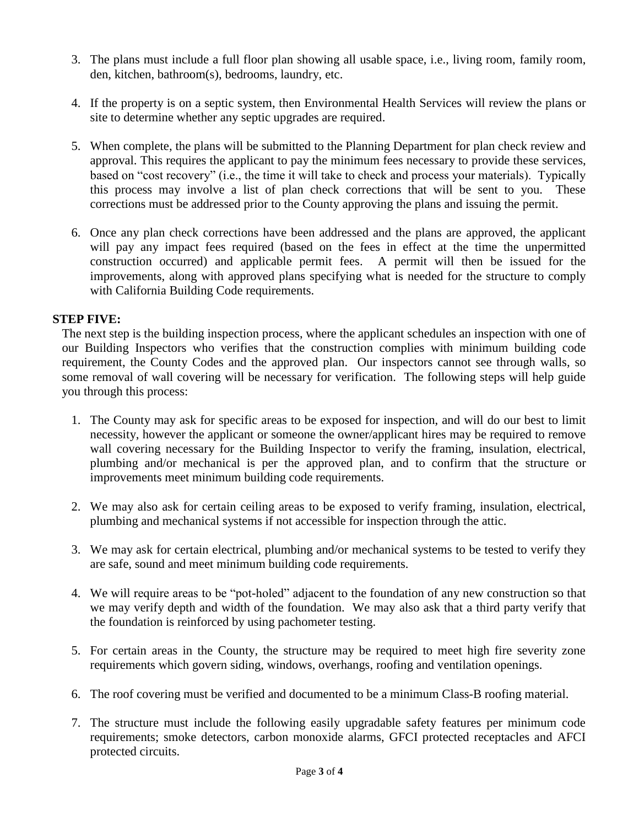- 3. The plans must include a full floor plan showing all usable space, i.e., living room, family room, den, kitchen, bathroom(s), bedrooms, laundry, etc.
- 4. If the property is on a septic system, then Environmental Health Services will review the plans or site to determine whether any septic upgrades are required.
- 5. When complete, the plans will be submitted to the Planning Department for plan check review and approval. This requires the applicant to pay the minimum fees necessary to provide these services, based on "cost recovery" (i.e., the time it will take to check and process your materials). Typically this process may involve a list of plan check corrections that will be sent to you. These corrections must be addressed prior to the County approving the plans and issuing the permit.
- 6. Once any plan check corrections have been addressed and the plans are approved, the applicant will pay any impact fees required (based on the fees in effect at the time the unpermitted construction occurred) and applicable permit fees. A permit will then be issued for the improvements, along with approved plans specifying what is needed for the structure to comply with California Building Code requirements.

#### **STEP FIVE:**

The next step is the building inspection process, where the applicant schedules an inspection with one of our Building Inspectors who verifies that the construction complies with minimum building code requirement, the County Codes and the approved plan. Our inspectors cannot see through walls, so some removal of wall covering will be necessary for verification. The following steps will help guide you through this process:

- 1. The County may ask for specific areas to be exposed for inspection, and will do our best to limit necessity, however the applicant or someone the owner/applicant hires may be required to remove wall covering necessary for the Building Inspector to verify the framing, insulation, electrical, plumbing and/or mechanical is per the approved plan, and to confirm that the structure or improvements meet minimum building code requirements.
- 2. We may also ask for certain ceiling areas to be exposed to verify framing, insulation, electrical, plumbing and mechanical systems if not accessible for inspection through the attic.
- 3. We may ask for certain electrical, plumbing and/or mechanical systems to be tested to verify they are safe, sound and meet minimum building code requirements.
- 4. We will require areas to be "pot-holed" adjacent to the foundation of any new construction so that we may verify depth and width of the foundation. We may also ask that a third party verify that the foundation is reinforced by using pachometer testing.
- 5. For certain areas in the County, the structure may be required to meet high fire severity zone requirements which govern siding, windows, overhangs, roofing and ventilation openings.
- 6. The roof covering must be verified and documented to be a minimum Class-B roofing material.
- 7. The structure must include the following easily upgradable safety features per minimum code requirements; smoke detectors, carbon monoxide alarms, GFCI protected receptacles and AFCI protected circuits.